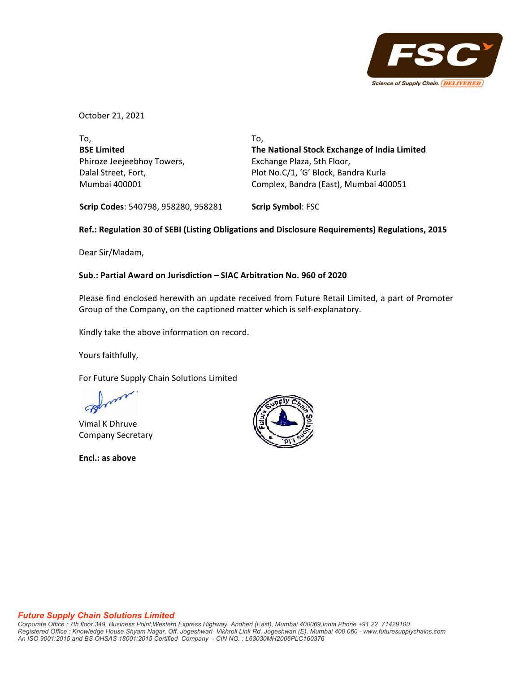

October 21, 2021

| To.                        | To.                                          |
|----------------------------|----------------------------------------------|
| <b>BSE Limited</b>         | The National Stock Exchange of India Limited |
| Phiroze Jeejeebhoy Towers, | Exchange Plaza, 5th Floor,                   |
| Dalal Street, Fort,        | Plot No.C/1, 'G' Block, Bandra Kurla         |
| Mumbai 400001              | Complex, Bandra (East), Mumbai 400051        |

**Scrip Codes**: 540798, 958280, 958281 **Scrip Symbol**: FSC

## **Ref.: Regulation 30 of SEBI (Listing Obligations and Disclosure Requirements) Regulations, 2015**

Dear Sir/Madam,

## **Sub.: Partial Award on Jurisdiction – SIAC Arbitration No. 960 of 2020**

Please find enclosed herewith an update received from Future Retail Limited, a part of Promoter Group of the Company, on the captioned matter which is self‐explanatory.

Kindly take the above information on record.

Yours faithfully,

For Future Supply Chain Solutions Limited

Vimal K Dhruve Company Secretary

**Encl.: as above**



## *Future Supply Chain Solutions Limited*